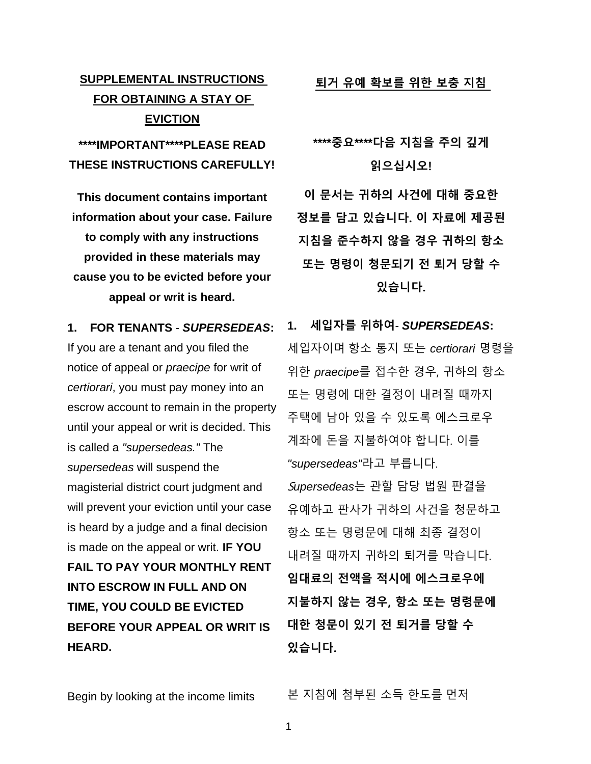## **SUPPLEMENTAL INSTRUCTIONS FOR OBTAINING A STAY OF EVICTION**

## **\*\*\*\*IMPORTANT\*\*\*\*PLEASE READ THESE INSTRUCTIONS CAREFULLY!**

**This document contains important information about your case. Failure to comply with any instructions provided in these materials may cause you to be evicted before your appeal or writ is heard.**

**1. FOR TENANTS** - *SUPERSEDEAS***:**  If you are a tenant and you filed the notice of appeal or *praecipe* for writ of *certiorari*, you must pay money into an escrow account to remain in the property until your appeal or writ is decided. This is called a *"supersedeas."* The *supersedeas* will suspend the magisterial district court judgment and will prevent your eviction until your case is heard by a judge and a final decision is made on the appeal or writ. **IF YOU FAIL TO PAY YOUR MONTHLY RENT INTO ESCROW IN FULL AND ON TIME, YOU COULD BE EVICTED BEFORE YOUR APPEAL OR WRIT IS HEARD.**

**퇴거 유예 확보를 위한 보충 지침**

# **\*\*\*\*중요\*\*\*\*다음 지침을 주의 깊게 읽으십시오!**

**이 문서는 귀하의 사건에 대해 중요한 정보를 담고 있습니다. 이 자료에 제공된 지침을 준수하지 않을 경우 귀하의 항소 또는 명령이 청문되기 전 퇴거 당할 수 있습니다.**

**1. 세입자를 위하여**- *SUPERSEDEAS***:**  세입자이며 항소 통지 또는 *certiorari* 명령을 위한 *praecipe*를 접수한 경우, 귀하의 항소 또는 명령에 대한 결정이 내려질 때까지 주택에 남아 있을 수 있도록 에스크로우 계좌에 돈을 지불하여야 합니다. 이를 *"supersedeas"*라고 부릅니다. S*upersedeas*는 관할 담당 법원 판결을 유예하고 판사가 귀하의 사건을 청문하고 항소 또는 명령문에 대해 최종 결정이 내려질 때까지 귀하의 퇴거를 막습니다. **임대료의 전액을 적시에 에스크로우에 지불하지 않는 경우, 항소 또는 명령문에 대한 청문이 있기 전 퇴거를 당할 수 있습니다.**

Begin by looking at the income limits 본 지침에 첨부된 소득 한도를 먼저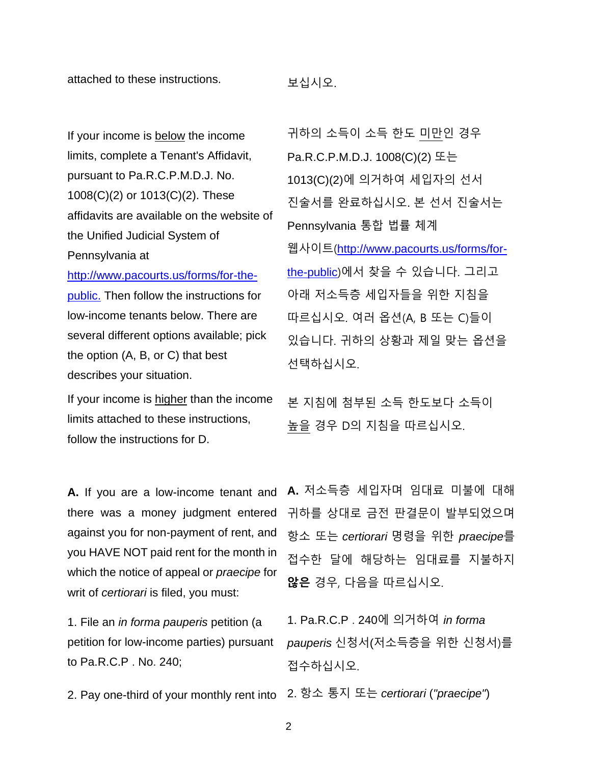attached to these instructions. 보십시오.

If your income is **below** the income limits, complete a Tenant's Affidavit, pursuant to Pa.R.C.P.M.D.J. No. 1008(C)(2) or 1013(C)(2). These affidavits are available on the website of the Unified Judicial System of Pennsylvania at

[http://www.pacourts.us/forms/for-the](http://www.pacourts.us/forms/for-the-public.)[public.](http://www.pacourts.us/forms/for-the-public.) Then follow the instructions for low-income tenants below. There are several different options available; pick the option (A, B, or C) that best describes your situation.

If your income is higher than the income limits attached to these instructions, follow the instructions for D.

**A.** If you are a low-income tenant and against you for non-payment of rent, and you HAVE NOT paid rent for the month in which the notice of appeal or *praecipe* for writ of *certiorari* is filed, you must:

1. File an *in forma pauperis* petition (a petition for low-income parties) pursuant to Pa.R.C.P . No. 240;

2. Pay one-third of your monthly rent into 2. 항소 통지 또는 *certiorari* (*"praecipe"*)

귀하의 소득이 소득 한도 미만인 경우 Pa.R.C.P.M.D.J. 1008(C)(2) 또는 1013(C)(2)에 의거하여 세입자의 선서 진술서를 완료하십시오. 본 선서 진술서는 Pennsylvania 통합 법률 체계 웹사이트([http://www.pacourts.us/forms/for](http://www.pacourts.us/forms/for-the-public)[the-public](http://www.pacourts.us/forms/for-the-public))에서 찾을 수 있습니다. 그리고 아래 저소득층 세입자들을 위한 지침을 따르십시오. 여러 옵션(A, B 또는 C)들이 있습니다. 귀하의 상황과 제일 맞는 옵션을 선택하십시오.

본 지침에 첨부된 소득 한도보다 소득이 높을 경우 D의 지침을 따르십시오.

there was a money judgment entered 귀하를 상대로 금전 판결문이 발부되었으며 **A.** 저소득층 세입자며 임대료 미불에 대해 항소 또는 *certiorari* 명령을 위한 *praecipe*를 접수한 달에 해당하는 임대료를 지불하지 **않은** 경우, 다음을 따르십시오.

> 1. Pa.R.C.P . 240에 의거하여 *in forma pauperis* 신청서(저소득층을 위한 신청서)를 접수하십시오.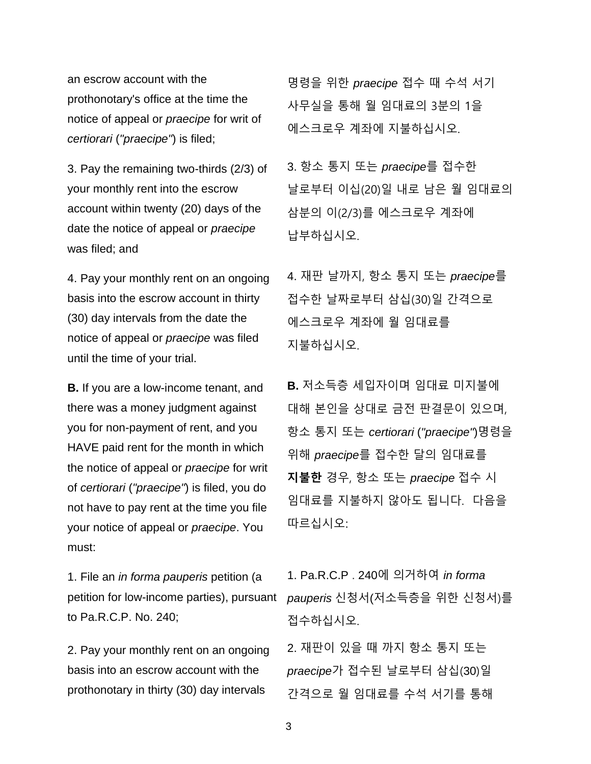an escrow account with the prothonotary's office at the time the notice of appeal or *praecipe* for writ of *certiorari* (*"praecipe"*) is filed;

3. Pay the remaining two-thirds (2/3) of your monthly rent into the escrow account within twenty (20) days of the date the notice of appeal or *praecipe* was filed; and

4. Pay your monthly rent on an ongoing basis into the escrow account in thirty (30) day intervals from the date the notice of appeal or *praecipe* was filed until the time of your trial.

**B.** If you are a low-income tenant, and there was a money judgment against you for non-payment of rent, and you HAVE paid rent for the month in which the notice of appeal or *praecipe* for writ of *certiorari* (*"praecipe"*) is filed, you do not have to pay rent at the time you file your notice of appeal or *praecipe*. You must:

1. File an *in forma pauperis* petition (a petition for low-income parties), pursuant to Pa.R.C.P. No. 240;

2. Pay your monthly rent on an ongoing basis into an escrow account with the prothonotary in thirty (30) day intervals

명령을 위한 *praecipe* 접수 때 수석 서기 사무실을 통해 월 임대료의 3분의 1을 에스크로우 계좌에 지불하십시오.

3. 항소 통지 또는 *praecipe*를 접수한 날로부터 이십(20)일 내로 남은 월 임대료의 삼분의 이(2/3)를 에스크로우 계좌에 납부하십시오.

4. 재판 날까지, 항소 통지 또는 *praecipe*를 접수한 날짜로부터 삼십(30)일 간격으로 에스크로우 계좌에 월 임대료를 지불하십시오.

**B.** 저소득층 세입자이며 임대료 미지불에 대해 본인을 상대로 금전 판결문이 있으며, 항소 통지 또는 *certiorari* (*"praecipe"*)명령을 위해 *praecipe*를 접수한 달의 임대료를 **지불한** 경우, 항소 또는 *praecipe* 접수 시 임대료를 지불하지 않아도 됩니다. 다음을 따르십시오:

1. Pa.R.C.P . 240에 의거하여 *in forma pauperis* 신청서(저소득층을 위한 신청서)를 접수하십시오.

2. 재판이 있을 때 까지 항소 통지 또는 *praecipe*가 접수된 날로부터 삼십(30)일 간격으로 월 임대료를 수석 서기를 통해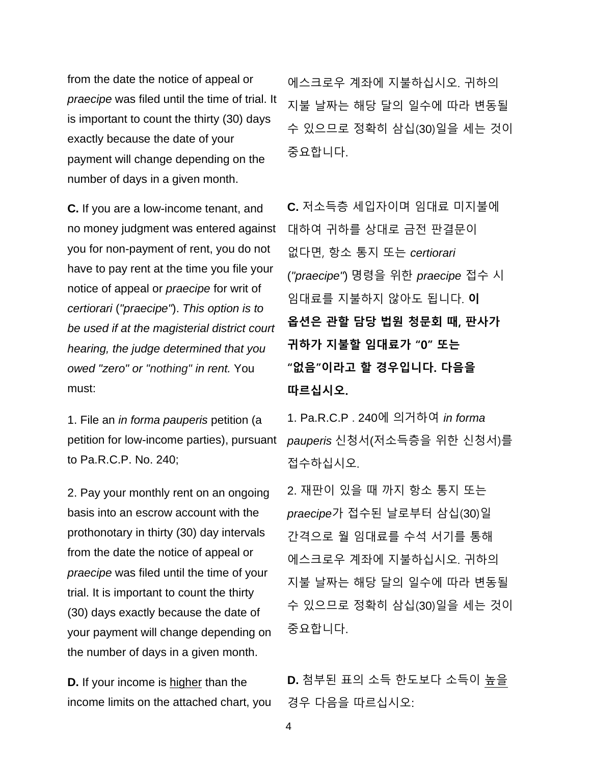from the date the notice of appeal or *praecipe* was filed until the time of trial. It is important to count the thirty (30) days exactly because the date of your payment will change depending on the number of days in a given month.

**C.** If you are a low-income tenant, and no money judgment was entered against you for non-payment of rent, you do not have to pay rent at the time you file your notice of appeal or *praecipe* for writ of *certiorari* (*"praecipe"*). *This option is to be used if at the magisterial district court hearing, the judge determined that you owed "zero" or "nothing" in rent.* You must:

1. File an *in forma pauperis* petition (a to Pa.R.C.P. No. 240;

2. Pay your monthly rent on an ongoing basis into an escrow account with the prothonotary in thirty (30) day intervals from the date the notice of appeal or *praecipe* was filed until the time of your trial. It is important to count the thirty (30) days exactly because the date of your payment will change depending on the number of days in a given month.

**D.** If your income is higher than the income limits on the attached chart, you 에스크로우 계좌에 지불하십시오. 귀하의 지불 날짜는 해당 달의 일수에 따라 변동될 수 있으므로 정확히 삼십(30)일을 세는 것이 중요합니다.

**C.** 저소득층 세입자이며 임대료 미지불에 대하여 귀하를 상대로 금전 판결문이 없다면, 항소 통지 또는 *certiorari* (*"praecipe"*) 명령을 위한 *praecipe* 접수 시 임대료를 지불하지 않아도 됩니다. **이 옵션은 관할 담당 법원 청문회 때, 판사가 귀하가 지불할 임대료가 "0" 또는 "없음"이라고 할 경우입니다. 다음을 따르십시오.** 

petition for low-income parties), pursuant *pauperis* 신청서(저소득층을 위한 신청서)를 1. Pa.R.C.P . 240에 의거하여 *in forma*  접수하십시오.

> 2. 재판이 있을 때 까지 항소 통지 또는 *praecipe*가 접수된 날로부터 삼십(30)일 간격으로 월 임대료를 수석 서기를 통해 에스크로우 계좌에 지불하십시오. 귀하의 지불 날짜는 해당 달의 일수에 따라 변동될 수 있으므로 정확히 삼십(30)일을 세는 것이 중요합니다.

**D.** 첨부된 표의 소득 한도보다 소득이 높을 경우 다음을 따르십시오: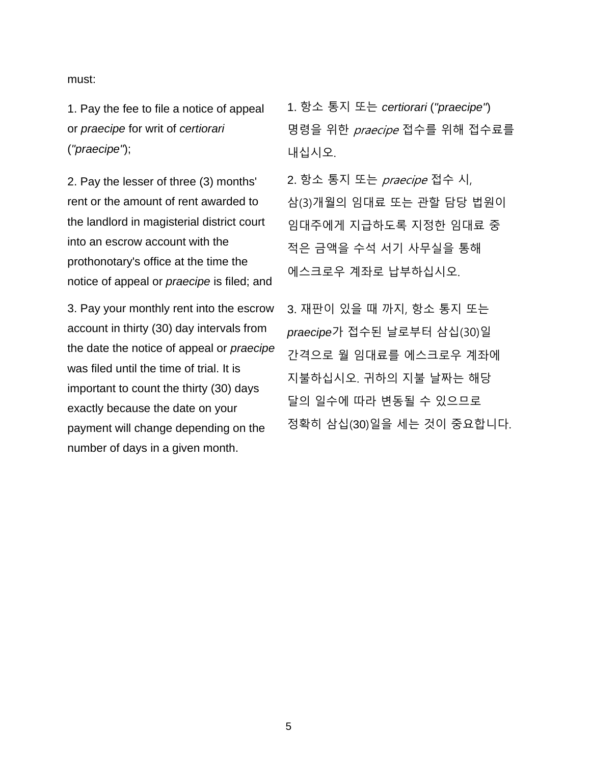must:

1. Pay the fee to file a notice of appeal or *praecipe* for writ of *certiorari* (*"praecipe"*);

2. Pay the lesser of three (3) months' rent or the amount of rent awarded to the landlord in magisterial district court into an escrow account with the prothonotary's office at the time the notice of appeal or *praecipe* is filed; and

3. Pay your monthly rent into the escrow account in thirty (30) day intervals from the date the notice of appeal or *praecipe* was filed until the time of trial. It is important to count the thirty (30) days exactly because the date on your payment will change depending on the number of days in a given month.

1. 항소 통지 또는 *certiorari* (*"praecipe"*) 명령을 위한 praecipe 접수를 위해 접수료를 내십시오.

2. 항소 통지 또는 praecipe 접수 시, 삼(3)개월의 임대료 또는 관할 담당 법원이 임대주에게 지급하도록 지정한 임대료 중 적은 금액을 수석 서기 사무실을 통해 에스크로우 계좌로 납부하십시오.

3. 재판이 있을 때 까지, 항소 통지 또는 *praecipe*가 접수된 날로부터 삼십(30)일 간격으로 월 임대료를 에스크로우 계좌에 지불하십시오. 귀하의 지불 날짜는 해당 달의 일수에 따라 변동될 수 있으므로 정확히 삼십(30)일을 세는 것이 중요합니다.